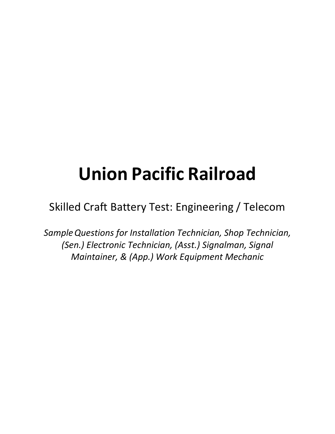# **Union Pacific Railroad**

Skilled Craft Battery Test: Engineering / Telecom

*SampleQuestions for Installation Technician, Shop Technician, (Sen.) Electronic Technician, (Asst.) Signalman, Signal Maintainer, & (App.) Work Equipment Mechanic*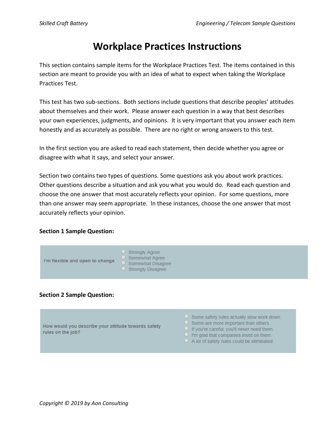## **Workplace Practices Instructions**

This section contains sample items for the Workplace Practices Test. The items contained in this section are meant to provide you with an idea of what to expect when taking the Workplace Practices Test.

This test has two sub-sections. Both sections include questions that describe peoples' attitudes about themselves and their work. Please answer each question in a way that best describes your own experiences, judgments, and opinions. It is very important that you answer each item honestly and as accurately as possible. There are no right or wrong answers to this test.

In the first section you are asked to read each statement, then decide whether you agree or disagree with what it says, and select your answer.

Section two contains two types of questions. Some questions ask you about work practices. Other questions describe a situation and ask you what you would do. Read each question and choose the one answer that most accurately reflects your opinion. For some questions, more than one answer may seem appropriate. In these instances, choose the one answer that most accurately reflects your opinion.

### **Section 1 Sample Question:**



## **Section 2 Sample Question:**

How would you describe your attitude towards safety rules on the job?

- $\circ$  Some safety rules actually slow work down.
- $\circ$  Some are more important than others.
- O If you're careful, you'll never need them.
- $\Box$  I'm glad that companies insist on them.
- $\circ$  A lot of safety rules could be eliminated.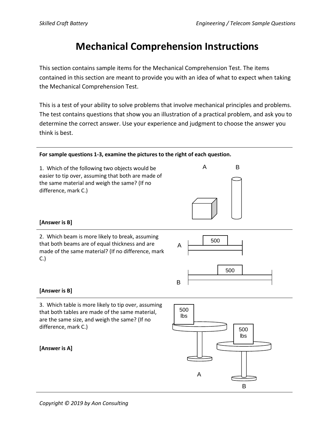B

A

# **Mechanical Comprehension Instructions**

This section contains sample items for the Mechanical Comprehension Test. The items contained in this section are meant to provide you with an idea of what to expect when taking the Mechanical Comprehension Test.

This is a test of your ability to solve problems that involve mechanical principles and problems. The test contains questions that show you an illustration of a practical problem, and ask you to determine the correct answer. Use your experience and judgment to choose the answer you think is best.

#### **For sample questions 1-3, examine the pictures to the right of each question.**